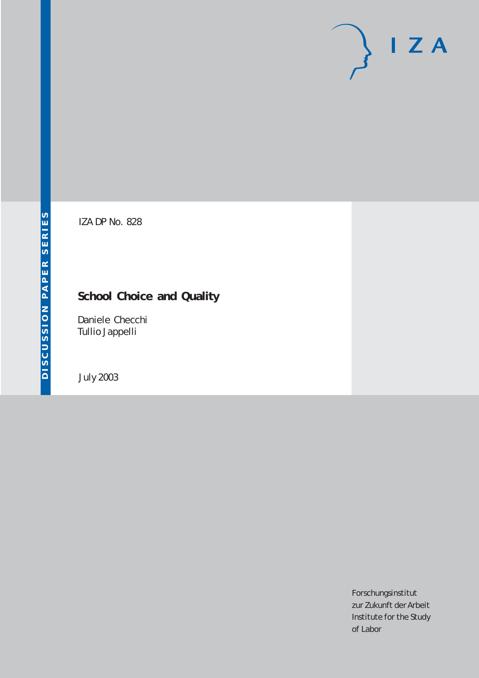# $I Z A$

IZA DP No. 828

## **School Choice and Quality**

Daniele Checchi Tullio Jappelli

July 2003

Forschungsinstitut zur Zukunft der Arbeit Institute for the Study of Labor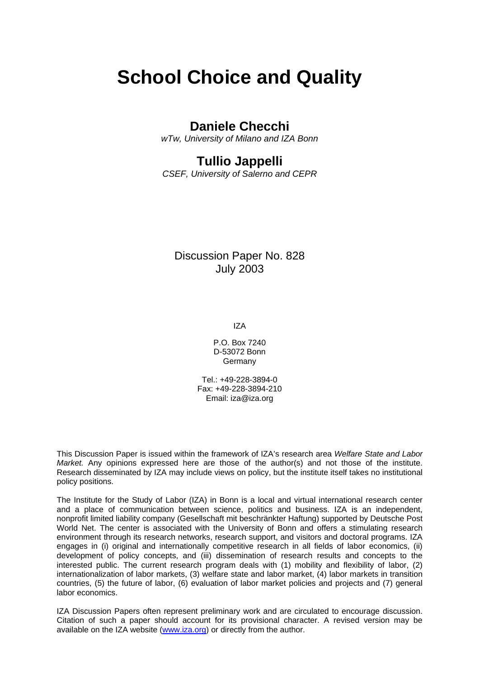# **School Choice and Quality**

### **Daniele Checchi**

*wTw, University of Milano and IZA Bonn* 

## **Tullio Jappelli**

*CSEF, University of Salerno and CEPR* 

#### Discussion Paper No. 828 July 2003

IZA

P.O. Box 7240 D-53072 Bonn Germany

Tel.: +49-228-3894-0 Fax: +49-228-3894-210 Email: [iza@iza.org](mailto:iza@iza.org)

This Discussion Paper is issued within the framework of IZA's research area *Welfare State and Labor Market.* Any opinions expressed here are those of the author(s) and not those of the institute. Research disseminated by IZA may include views on policy, but the institute itself takes no institutional policy positions.

The Institute for the Study of Labor (IZA) in Bonn is a local and virtual international research center and a place of communication between science, politics and business. IZA is an independent, nonprofit limited liability company (Gesellschaft mit beschränkter Haftung) supported by Deutsche Post World Net. The center is associated with the University of Bonn and offers a stimulating research environment through its research networks, research support, and visitors and doctoral programs. IZA engages in (i) original and internationally competitive research in all fields of labor economics, (ii) development of policy concepts, and (iii) dissemination of research results and concepts to the interested public. The current research program deals with (1) mobility and flexibility of labor, (2) internationalization of labor markets, (3) welfare state and labor market, (4) labor markets in transition countries, (5) the future of labor, (6) evaluation of labor market policies and projects and (7) general labor economics.

IZA Discussion Papers often represent preliminary work and are circulated to encourage discussion. Citation of such a paper should account for its provisional character. A revised version may be available on the IZA website ([www.iza.org](http://www.iza.org/)) or directly from the author.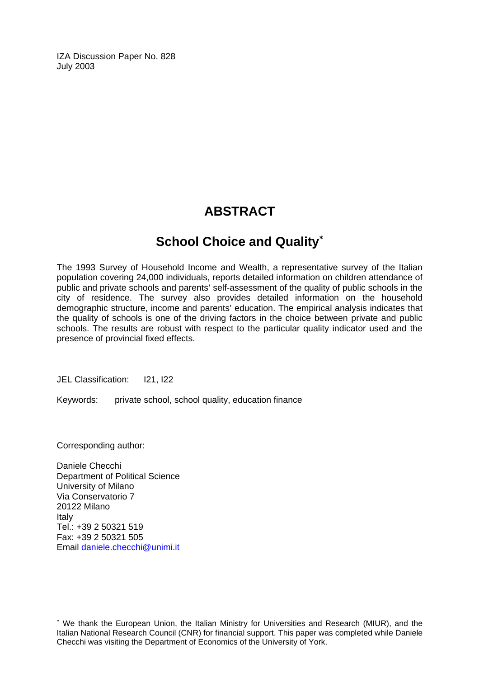IZA Discussion Paper No. 828 July 2003

## **ABSTRACT**

## **School Choice and Quality**[∗](#page-2-0)

The 1993 Survey of Household Income and Wealth, a representative survey of the Italian population covering 24,000 individuals, reports detailed information on children attendance of public and private schools and parents' self-assessment of the quality of public schools in the city of residence. The survey also provides detailed information on the household demographic structure, income and parents' education. The empirical analysis indicates that the quality of schools is one of the driving factors in the choice between private and public schools. The results are robust with respect to the particular quality indicator used and the presence of provincial fixed effects.

JEL Classification: I21, I22

Keywords: private school, school quality, education finance

Corresponding author:

 $\overline{a}$ 

Daniele Checchi Department of Political Science University of Milano Via Conservatorio 7 20122 Milano Italy Tel.: +39 2 50321 519 Fax: +39 2 50321 505 Email [daniele.checchi@unimi.it](mailto:daniele.checchi@unimi.it)

<span id="page-2-0"></span><sup>∗</sup> We thank the European Union, the Italian Ministry for Universities and Research (MIUR), and the Italian National Research Council (CNR) for financial support. This paper was completed while Daniele Checchi was visiting the Department of Economics of the University of York.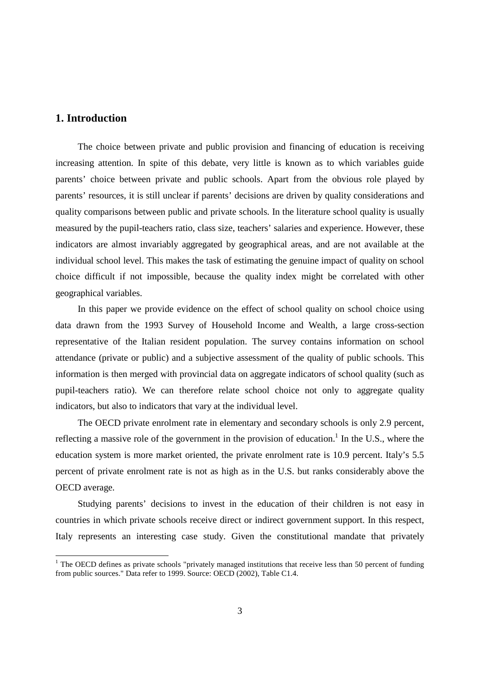#### **1. Introduction**

l

The choice between private and public provision and financing of education is receiving increasing attention. In spite of this debate, very little is known as to which variables guide parents' choice between private and public schools. Apart from the obvious role played by parents' resources, it is still unclear if parents' decisions are driven by quality considerations and quality comparisons between public and private schools. In the literature school quality is usually measured by the pupil-teachers ratio, class size, teachers' salaries and experience. However, these indicators are almost invariably aggregated by geographical areas, and are not available at the individual school level. This makes the task of estimating the genuine impact of quality on school choice difficult if not impossible, because the quality index might be correlated with other geographical variables.

In this paper we provide evidence on the effect of school quality on school choice using data drawn from the 1993 Survey of Household Income and Wealth, a large cross-section representative of the Italian resident population. The survey contains information on school attendance (private or public) and a subjective assessment of the quality of public schools. This information is then merged with provincial data on aggregate indicators of school quality (such as pupil-teachers ratio). We can therefore relate school choice not only to aggregate quality indicators, but also to indicators that vary at the individual level.

The OECD private enrolment rate in elementary and secondary schools is only 2.9 percent, reflecting a massive role of the government in the provision of education.<sup>1</sup> In the U.S., where the education system is more market oriented, the private enrolment rate is 10.9 percent. Italy's 5.5 percent of private enrolment rate is not as high as in the U.S. but ranks considerably above the OECD average.

Studying parents' decisions to invest in the education of their children is not easy in countries in which private schools receive direct or indirect government support. In this respect, Italy represents an interesting case study. Given the constitutional mandate that privately

<sup>&</sup>lt;sup>1</sup> The OECD defines as private schools "privately managed institutions that receive less than 50 percent of funding from public sources." Data refer to 1999. Source: OECD (2002), Table C1.4.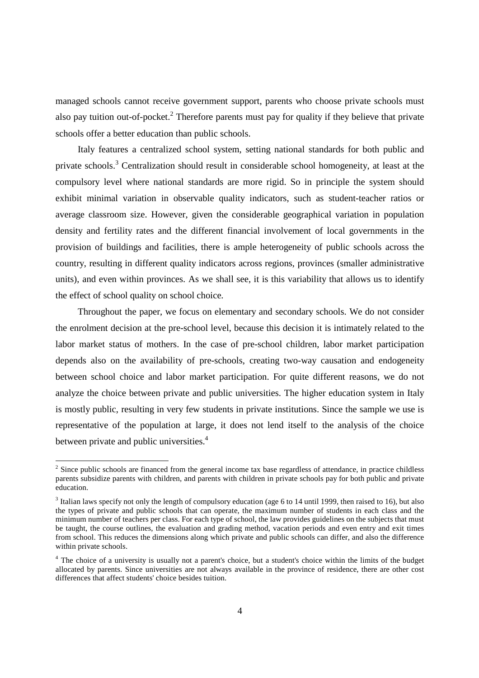managed schools cannot receive government support, parents who choose private schools must also pay tuition out-of-pocket.<sup>2</sup> Therefore parents must pay for quality if they believe that private schools offer a better education than public schools.

Italy features a centralized school system, setting national standards for both public and private schools.<sup>3</sup> Centralization should result in considerable school homogeneity, at least at the compulsory level where national standards are more rigid. So in principle the system should exhibit minimal variation in observable quality indicators, such as student-teacher ratios or average classroom size. However, given the considerable geographical variation in population density and fertility rates and the different financial involvement of local governments in the provision of buildings and facilities, there is ample heterogeneity of public schools across the country, resulting in different quality indicators across regions, provinces (smaller administrative units), and even within provinces. As we shall see, it is this variability that allows us to identify the effect of school quality on school choice.

Throughout the paper, we focus on elementary and secondary schools. We do not consider the enrolment decision at the pre-school level, because this decision it is intimately related to the labor market status of mothers. In the case of pre-school children, labor market participation depends also on the availability of pre-schools, creating two-way causation and endogeneity between school choice and labor market participation. For quite different reasons, we do not analyze the choice between private and public universities. The higher education system in Italy is mostly public, resulting in very few students in private institutions. Since the sample we use is representative of the population at large, it does not lend itself to the analysis of the choice between private and public universities.<sup>4</sup>

 $2^2$  Since public schools are financed from the general income tax base regardless of attendance, in practice childless parents subsidize parents with children, and parents with children in private schools pay for both public and private education.

 $3$  Italian laws specify not only the length of compulsory education (age 6 to 14 until 1999, then raised to 16), but also the types of private and public schools that can operate, the maximum number of students in each class and the minimum number of teachers per class. For each type of school, the law provides guidelines on the subjects that must be taught, the course outlines, the evaluation and grading method, vacation periods and even entry and exit times from school. This reduces the dimensions along which private and public schools can differ, and also the difference within private schools.

 $4$  The choice of a university is usually not a parent's choice, but a student's choice within the limits of the budget allocated by parents. Since universities are not always available in the province of residence, there are other cost differences that affect students' choice besides tuition.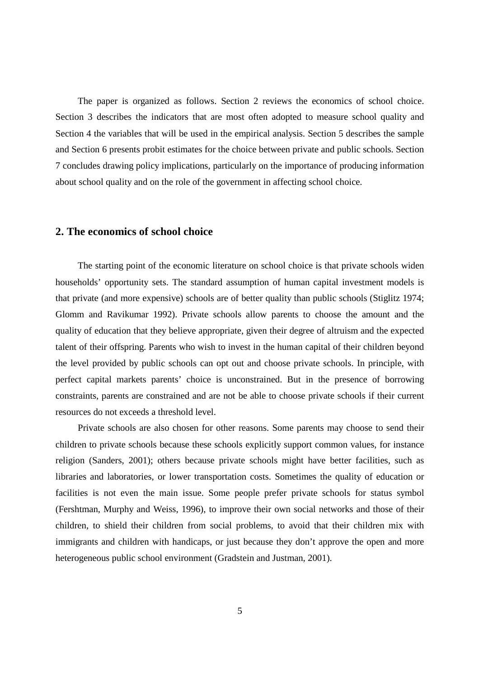The paper is organized as follows. Section 2 reviews the economics of school choice. Section 3 describes the indicators that are most often adopted to measure school quality and Section 4 the variables that will be used in the empirical analysis. Section 5 describes the sample and Section 6 presents probit estimates for the choice between private and public schools. Section 7 concludes drawing policy implications, particularly on the importance of producing information about school quality and on the role of the government in affecting school choice.

#### **2. The economics of school choice**

The starting point of the economic literature on school choice is that private schools widen households' opportunity sets. The standard assumption of human capital investment models is that private (and more expensive) schools are of better quality than public schools (Stiglitz 1974; Glomm and Ravikumar 1992). Private schools allow parents to choose the amount and the quality of education that they believe appropriate, given their degree of altruism and the expected talent of their offspring. Parents who wish to invest in the human capital of their children beyond the level provided by public schools can opt out and choose private schools. In principle, with perfect capital markets parents' choice is unconstrained. But in the presence of borrowing constraints, parents are constrained and are not be able to choose private schools if their current resources do not exceeds a threshold level.

Private schools are also chosen for other reasons. Some parents may choose to send their children to private schools because these schools explicitly support common values, for instance religion (Sanders, 2001); others because private schools might have better facilities, such as libraries and laboratories, or lower transportation costs. Sometimes the quality of education or facilities is not even the main issue. Some people prefer private schools for status symbol (Fershtman, Murphy and Weiss, 1996), to improve their own social networks and those of their children, to shield their children from social problems, to avoid that their children mix with immigrants and children with handicaps, or just because they don't approve the open and more heterogeneous public school environment (Gradstein and Justman, 2001).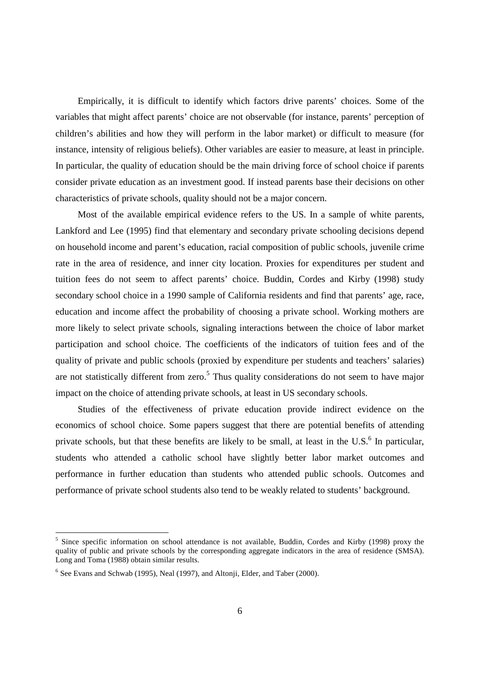Empirically, it is difficult to identify which factors drive parents' choices. Some of the variables that might affect parents' choice are not observable (for instance, parents' perception of children's abilities and how they will perform in the labor market) or difficult to measure (for instance, intensity of religious beliefs). Other variables are easier to measure, at least in principle. In particular, the quality of education should be the main driving force of school choice if parents consider private education as an investment good. If instead parents base their decisions on other characteristics of private schools, quality should not be a major concern.

Most of the available empirical evidence refers to the US. In a sample of white parents, Lankford and Lee (1995) find that elementary and secondary private schooling decisions depend on household income and parent's education, racial composition of public schools, juvenile crime rate in the area of residence, and inner city location. Proxies for expenditures per student and tuition fees do not seem to affect parents' choice. Buddin, Cordes and Kirby (1998) study secondary school choice in a 1990 sample of California residents and find that parents' age, race, education and income affect the probability of choosing a private school. Working mothers are more likely to select private schools, signaling interactions between the choice of labor market participation and school choice. The coefficients of the indicators of tuition fees and of the quality of private and public schools (proxied by expenditure per students and teachers' salaries) are not statistically different from zero.<sup>5</sup> Thus quality considerations do not seem to have major impact on the choice of attending private schools, at least in US secondary schools.

Studies of the effectiveness of private education provide indirect evidence on the economics of school choice. Some papers suggest that there are potential benefits of attending private schools, but that these benefits are likely to be small, at least in the U.S. $<sup>6</sup>$  In particular,</sup> students who attended a catholic school have slightly better labor market outcomes and performance in further education than students who attended public schools. Outcomes and performance of private school students also tend to be weakly related to students' background.

<sup>5</sup> Since specific information on school attendance is not available, Buddin, Cordes and Kirby (1998) proxy the quality of public and private schools by the corresponding aggregate indicators in the area of residence (SMSA). Long and Toma (1988) obtain similar results.

<sup>&</sup>lt;sup>6</sup> See Evans and Schwab (1995), Neal (1997), and Altonji, Elder, and Taber (2000).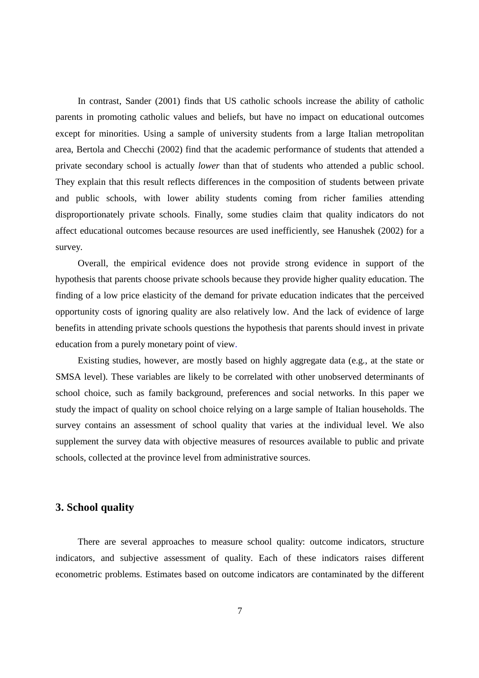In contrast, Sander (2001) finds that US catholic schools increase the ability of catholic parents in promoting catholic values and beliefs, but have no impact on educational outcomes except for minorities. Using a sample of university students from a large Italian metropolitan area, Bertola and Checchi (2002) find that the academic performance of students that attended a private secondary school is actually *lower* than that of students who attended a public school. They explain that this result reflects differences in the composition of students between private and public schools, with lower ability students coming from richer families attending disproportionately private schools. Finally, some studies claim that quality indicators do not affect educational outcomes because resources are used inefficiently, see Hanushek (2002) for a survey.

Overall, the empirical evidence does not provide strong evidence in support of the hypothesis that parents choose private schools because they provide higher quality education. The finding of a low price elasticity of the demand for private education indicates that the perceived opportunity costs of ignoring quality are also relatively low. And the lack of evidence of large benefits in attending private schools questions the hypothesis that parents should invest in private education from a purely monetary point of view.

Existing studies, however, are mostly based on highly aggregate data (e.g., at the state or SMSA level). These variables are likely to be correlated with other unobserved determinants of school choice, such as family background, preferences and social networks. In this paper we study the impact of quality on school choice relying on a large sample of Italian households. The survey contains an assessment of school quality that varies at the individual level. We also supplement the survey data with objective measures of resources available to public and private schools, collected at the province level from administrative sources.

#### **3. School quality**

There are several approaches to measure school quality: outcome indicators, structure indicators, and subjective assessment of quality. Each of these indicators raises different econometric problems. Estimates based on outcome indicators are contaminated by the different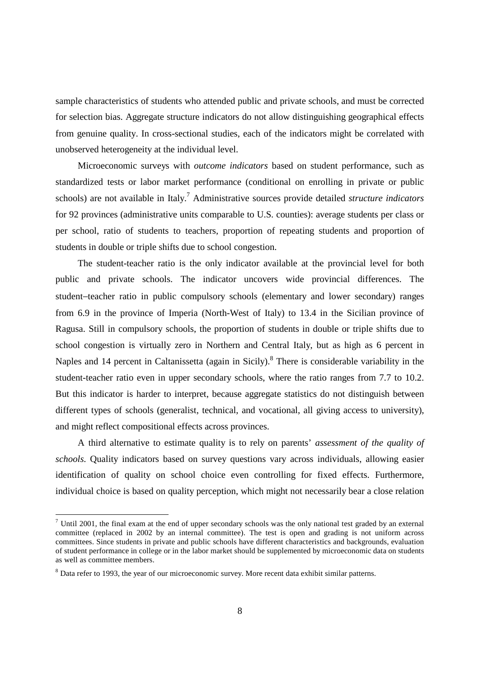sample characteristics of students who attended public and private schools, and must be corrected for selection bias. Aggregate structure indicators do not allow distinguishing geographical effects from genuine quality. In cross-sectional studies, each of the indicators might be correlated with unobserved heterogeneity at the individual level.

Microeconomic surveys with *outcome indicators* based on student performance, such as standardized tests or labor market performance (conditional on enrolling in private or public schools) are not available in Italy.7 Administrative sources provide detailed *structure indicators* for 92 provinces (administrative units comparable to U.S. counties): average students per class or per school, ratio of students to teachers, proportion of repeating students and proportion of students in double or triple shifts due to school congestion.

The student-teacher ratio is the only indicator available at the provincial level for both public and private schools. The indicator uncovers wide provincial differences. The student−teacher ratio in public compulsory schools (elementary and lower secondary) ranges from 6.9 in the province of Imperia (North-West of Italy) to 13.4 in the Sicilian province of Ragusa. Still in compulsory schools, the proportion of students in double or triple shifts due to school congestion is virtually zero in Northern and Central Italy, but as high as 6 percent in Naples and 14 percent in Caltanissetta (again in Sicily).<sup>8</sup> There is considerable variability in the student-teacher ratio even in upper secondary schools, where the ratio ranges from 7.7 to 10.2. But this indicator is harder to interpret, because aggregate statistics do not distinguish between different types of schools (generalist, technical, and vocational, all giving access to university), and might reflect compositional effects across provinces.

A third alternative to estimate quality is to rely on parents' *assessment of the quality of schools*. Quality indicators based on survey questions vary across individuals, allowing easier identification of quality on school choice even controlling for fixed effects. Furthermore, individual choice is based on quality perception, which might not necessarily bear a close relation

<sup>&</sup>lt;sup>7</sup> Until 2001, the final exam at the end of upper secondary schools was the only national test graded by an external committee (replaced in 2002 by an internal committee). The test is open and grading is not uniform across committees. Since students in private and public schools have different characteristics and backgrounds, evaluation of student performance in college or in the labor market should be supplemented by microeconomic data on students as well as committee members.

<sup>&</sup>lt;sup>8</sup> Data refer to 1993, the year of our microeconomic survey. More recent data exhibit similar patterns.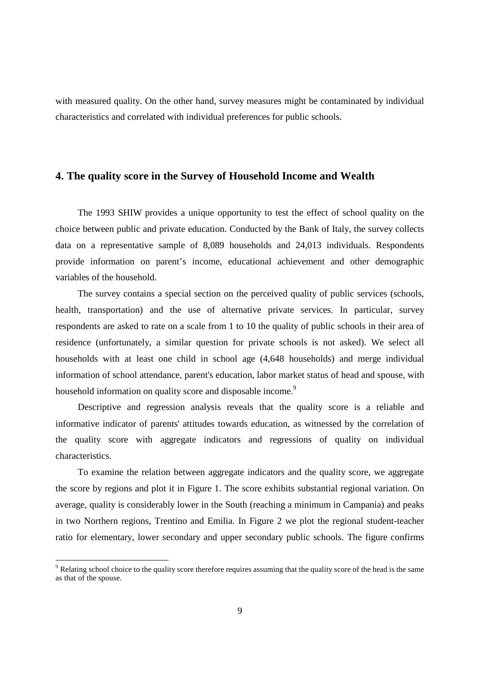with measured quality. On the other hand, survey measures might be contaminated by individual characteristics and correlated with individual preferences for public schools.

#### **4. The quality score in the Survey of Household Income and Wealth**

The 1993 SHIW provides a unique opportunity to test the effect of school quality on the choice between public and private education. Conducted by the Bank of Italy, the survey collects data on a representative sample of 8,089 households and 24,013 individuals. Respondents provide information on parent's income, educational achievement and other demographic variables of the household.

The survey contains a special section on the perceived quality of public services (schools, health, transportation) and the use of alternative private services. In particular, survey respondents are asked to rate on a scale from 1 to 10 the quality of public schools in their area of residence (unfortunately, a similar question for private schools is not asked). We select all households with at least one child in school age (4,648 households) and merge individual information of school attendance, parent's education, labor market status of head and spouse, with household information on quality score and disposable income.<sup>9</sup>

Descriptive and regression analysis reveals that the quality score is a reliable and informative indicator of parents' attitudes towards education, as witnessed by the correlation of the quality score with aggregate indicators and regressions of quality on individual characteristics.

To examine the relation between aggregate indicators and the quality score, we aggregate the score by regions and plot it in Figure 1. The score exhibits substantial regional variation. On average, quality is considerably lower in the South (reaching a minimum in Campania) and peaks in two Northern regions, Trentino and Emilia. In Figure 2 we plot the regional student-teacher ratio for elementary, lower secondary and upper secondary public schools. The figure confirms

<sup>&</sup>lt;sup>9</sup> Relating school choice to the quality score therefore requires assuming that the quality score of the head is the same as that of the spouse.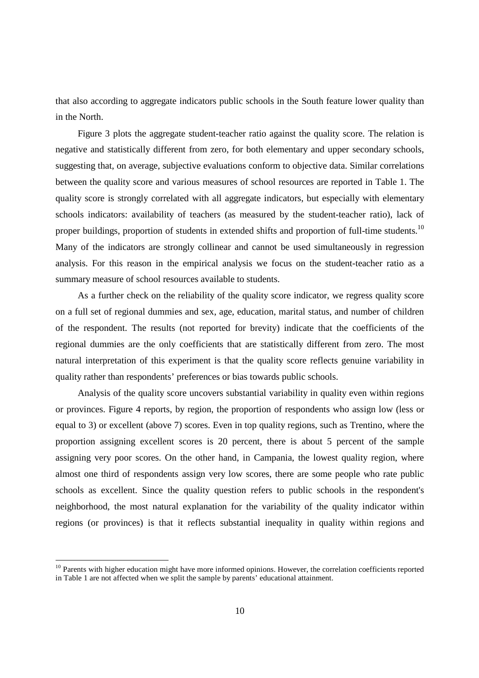that also according to aggregate indicators public schools in the South feature lower quality than in the North.

Figure 3 plots the aggregate student-teacher ratio against the quality score. The relation is negative and statistically different from zero, for both elementary and upper secondary schools, suggesting that, on average, subjective evaluations conform to objective data. Similar correlations between the quality score and various measures of school resources are reported in Table 1. The quality score is strongly correlated with all aggregate indicators, but especially with elementary schools indicators: availability of teachers (as measured by the student-teacher ratio), lack of proper buildings, proportion of students in extended shifts and proportion of full-time students.<sup>10</sup> Many of the indicators are strongly collinear and cannot be used simultaneously in regression analysis. For this reason in the empirical analysis we focus on the student-teacher ratio as a summary measure of school resources available to students.

As a further check on the reliability of the quality score indicator, we regress quality score on a full set of regional dummies and sex, age, education, marital status, and number of children of the respondent. The results (not reported for brevity) indicate that the coefficients of the regional dummies are the only coefficients that are statistically different from zero. The most natural interpretation of this experiment is that the quality score reflects genuine variability in quality rather than respondents' preferences or bias towards public schools.

Analysis of the quality score uncovers substantial variability in quality even within regions or provinces. Figure 4 reports, by region, the proportion of respondents who assign low (less or equal to 3) or excellent (above 7) scores. Even in top quality regions, such as Trentino, where the proportion assigning excellent scores is 20 percent, there is about 5 percent of the sample assigning very poor scores. On the other hand, in Campania, the lowest quality region, where almost one third of respondents assign very low scores, there are some people who rate public schools as excellent. Since the quality question refers to public schools in the respondent's neighborhood, the most natural explanation for the variability of the quality indicator within regions (or provinces) is that it reflects substantial inequality in quality within regions and

<sup>&</sup>lt;sup>10</sup> Parents with higher education might have more informed opinions. However, the correlation coefficients reported in Table 1 are not affected when we split the sample by parents' educational attainment.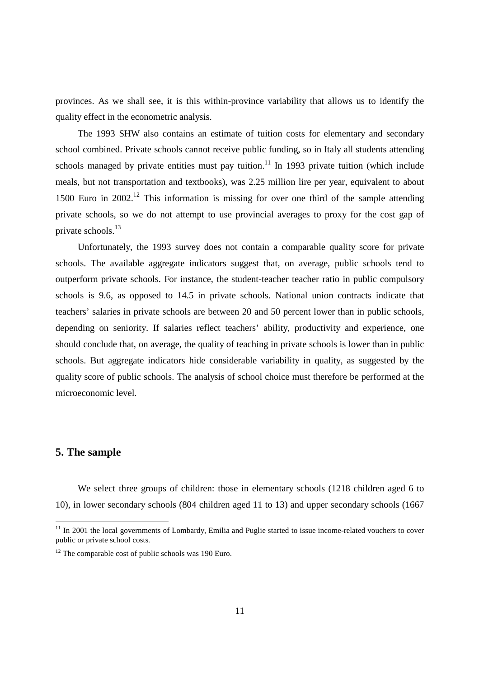provinces. As we shall see, it is this within-province variability that allows us to identify the quality effect in the econometric analysis.

The 1993 SHW also contains an estimate of tuition costs for elementary and secondary school combined. Private schools cannot receive public funding, so in Italy all students attending schools managed by private entities must pay tuition.<sup>11</sup> In 1993 private tuition (which include meals, but not transportation and textbooks), was 2.25 million lire per year, equivalent to about 1500 Euro in  $2002<sup>12</sup>$  This information is missing for over one third of the sample attending private schools, so we do not attempt to use provincial averages to proxy for the cost gap of private schools.<sup>13</sup>

Unfortunately, the 1993 survey does not contain a comparable quality score for private schools. The available aggregate indicators suggest that, on average, public schools tend to outperform private schools. For instance, the student-teacher teacher ratio in public compulsory schools is 9.6, as opposed to 14.5 in private schools. National union contracts indicate that teachers' salaries in private schools are between 20 and 50 percent lower than in public schools, depending on seniority. If salaries reflect teachers' ability, productivity and experience, one should conclude that, on average, the quality of teaching in private schools is lower than in public schools. But aggregate indicators hide considerable variability in quality, as suggested by the quality score of public schools. The analysis of school choice must therefore be performed at the microeconomic level.

#### **5. The sample**

We select three groups of children: those in elementary schools (1218 children aged 6 to 10), in lower secondary schools (804 children aged 11 to 13) and upper secondary schools (1667

 $11$  In 2001 the local governments of Lombardy, Emilia and Puglie started to issue income-related vouchers to cover public or private school costs.

 $12$  The comparable cost of public schools was 190 Euro.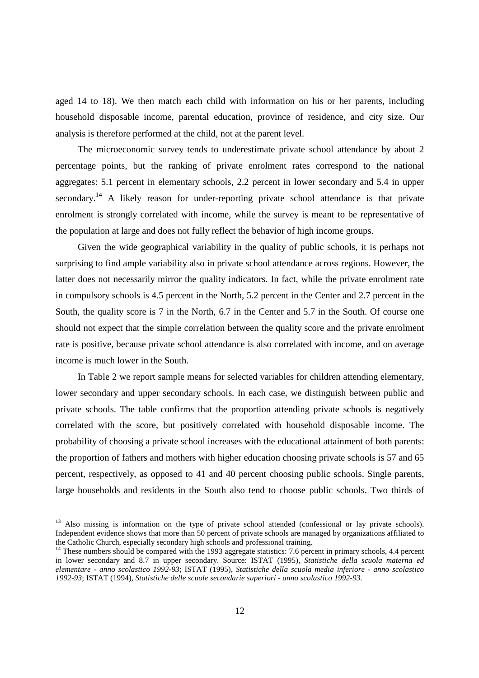aged 14 to 18). We then match each child with information on his or her parents, including household disposable income, parental education, province of residence, and city size. Our analysis is therefore performed at the child, not at the parent level.

The microeconomic survey tends to underestimate private school attendance by about 2 percentage points, but the ranking of private enrolment rates correspond to the national aggregates: 5.1 percent in elementary schools, 2.2 percent in lower secondary and 5.4 in upper secondary.<sup>14</sup> A likely reason for under-reporting private school attendance is that private enrolment is strongly correlated with income, while the survey is meant to be representative of the population at large and does not fully reflect the behavior of high income groups.

Given the wide geographical variability in the quality of public schools, it is perhaps not surprising to find ample variability also in private school attendance across regions. However, the latter does not necessarily mirror the quality indicators. In fact, while the private enrolment rate in compulsory schools is 4.5 percent in the North, 5.2 percent in the Center and 2.7 percent in the South, the quality score is 7 in the North, 6.7 in the Center and 5.7 in the South. Of course one should not expect that the simple correlation between the quality score and the private enrolment rate is positive, because private school attendance is also correlated with income, and on average income is much lower in the South.

In Table 2 we report sample means for selected variables for children attending elementary, lower secondary and upper secondary schools. In each case, we distinguish between public and private schools. The table confirms that the proportion attending private schools is negatively correlated with the score, but positively correlated with household disposable income. The probability of choosing a private school increases with the educational attainment of both parents: the proportion of fathers and mothers with higher education choosing private schools is 57 and 65 percent, respectively, as opposed to 41 and 40 percent choosing public schools. Single parents, large households and residents in the South also tend to choose public schools. Two thirds of

<sup>&</sup>lt;sup>13</sup> Also missing is information on the type of private school attended (confessional or lay private schools). Independent evidence shows that more than 50 percent of private schools are managed by organizations affiliated to the Catholic Church, especially secondary high schools and professional training.

<sup>&</sup>lt;sup>14</sup> These numbers should be compared with the 1993 aggregate statistics: 7.6 percent in primary schools, 4.4 percent in lower secondary and 8.7 in upper secondary. Source: ISTAT (1995), *Statistiche della scuola materna ed elementare - anno scolastico 1992-93*; ISTAT (1995), *Statistiche della scuola media inferiore - anno scolastico 1992-93*; ISTAT (1994), *Statistiche delle scuole secondarie superiori - anno scolastico 1992-93*.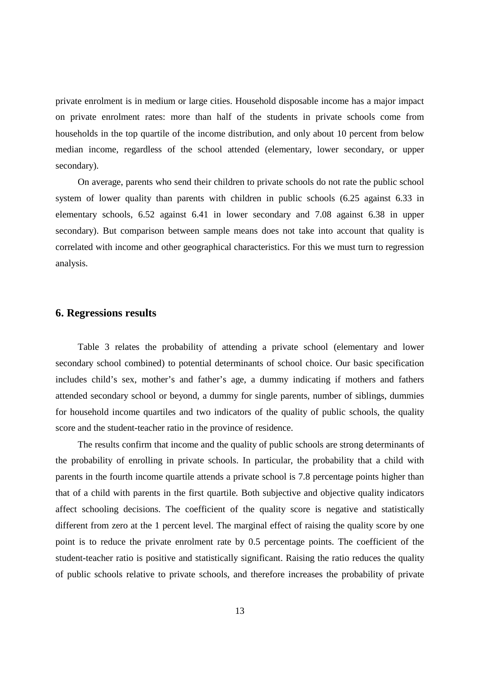private enrolment is in medium or large cities. Household disposable income has a major impact on private enrolment rates: more than half of the students in private schools come from households in the top quartile of the income distribution, and only about 10 percent from below median income, regardless of the school attended (elementary, lower secondary, or upper secondary).

On average, parents who send their children to private schools do not rate the public school system of lower quality than parents with children in public schools (6.25 against 6.33 in elementary schools, 6.52 against 6.41 in lower secondary and 7.08 against 6.38 in upper secondary). But comparison between sample means does not take into account that quality is correlated with income and other geographical characteristics. For this we must turn to regression analysis.

#### **6. Regressions results**

Table 3 relates the probability of attending a private school (elementary and lower secondary school combined) to potential determinants of school choice. Our basic specification includes child's sex, mother's and father's age, a dummy indicating if mothers and fathers attended secondary school or beyond, a dummy for single parents, number of siblings, dummies for household income quartiles and two indicators of the quality of public schools, the quality score and the student-teacher ratio in the province of residence.

The results confirm that income and the quality of public schools are strong determinants of the probability of enrolling in private schools. In particular, the probability that a child with parents in the fourth income quartile attends a private school is 7.8 percentage points higher than that of a child with parents in the first quartile. Both subjective and objective quality indicators affect schooling decisions. The coefficient of the quality score is negative and statistically different from zero at the 1 percent level. The marginal effect of raising the quality score by one point is to reduce the private enrolment rate by 0.5 percentage points. The coefficient of the student-teacher ratio is positive and statistically significant. Raising the ratio reduces the quality of public schools relative to private schools, and therefore increases the probability of private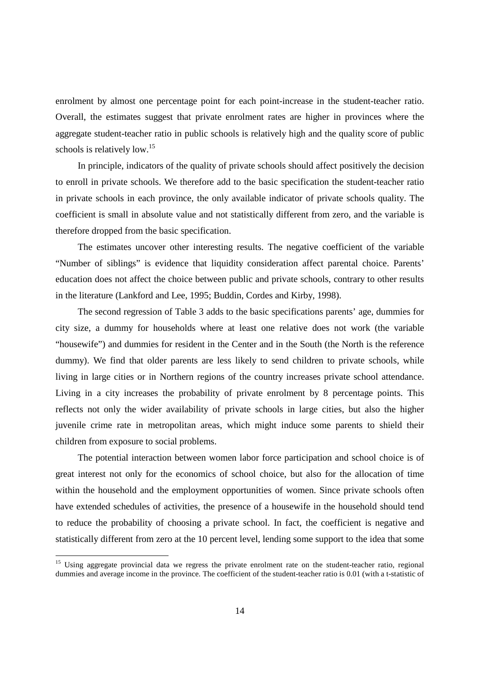enrolment by almost one percentage point for each point-increase in the student-teacher ratio. Overall, the estimates suggest that private enrolment rates are higher in provinces where the aggregate student-teacher ratio in public schools is relatively high and the quality score of public schools is relatively low.<sup>15</sup>

In principle, indicators of the quality of private schools should affect positively the decision to enroll in private schools. We therefore add to the basic specification the student-teacher ratio in private schools in each province, the only available indicator of private schools quality. The coefficient is small in absolute value and not statistically different from zero, and the variable is therefore dropped from the basic specification.

The estimates uncover other interesting results. The negative coefficient of the variable "Number of siblings" is evidence that liquidity consideration affect parental choice. Parents' education does not affect the choice between public and private schools, contrary to other results in the literature (Lankford and Lee, 1995; Buddin, Cordes and Kirby, 1998).

The second regression of Table 3 adds to the basic specifications parents' age, dummies for city size, a dummy for households where at least one relative does not work (the variable "housewife") and dummies for resident in the Center and in the South (the North is the reference dummy). We find that older parents are less likely to send children to private schools, while living in large cities or in Northern regions of the country increases private school attendance. Living in a city increases the probability of private enrolment by 8 percentage points. This reflects not only the wider availability of private schools in large cities, but also the higher juvenile crime rate in metropolitan areas, which might induce some parents to shield their children from exposure to social problems.

The potential interaction between women labor force participation and school choice is of great interest not only for the economics of school choice, but also for the allocation of time within the household and the employment opportunities of women. Since private schools often have extended schedules of activities, the presence of a housewife in the household should tend to reduce the probability of choosing a private school. In fact, the coefficient is negative and statistically different from zero at the 10 percent level, lending some support to the idea that some

l

<sup>&</sup>lt;sup>15</sup> Using aggregate provincial data we regress the private enrolment rate on the student-teacher ratio, regional dummies and average income in the province. The coefficient of the student-teacher ratio is 0.01 (with a t-statistic of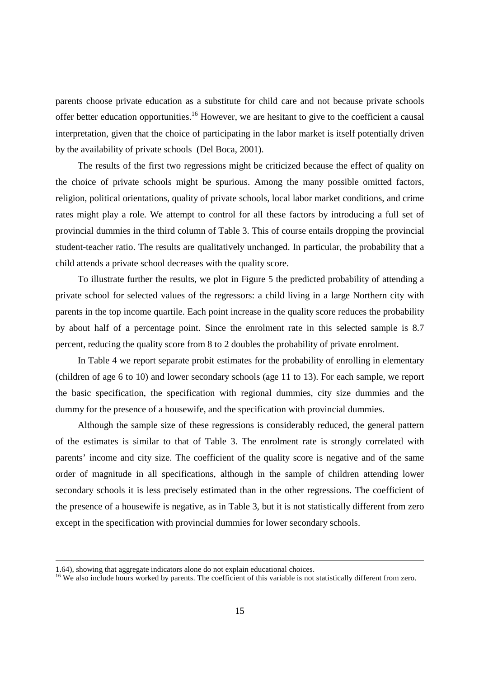parents choose private education as a substitute for child care and not because private schools offer better education opportunities.<sup>16</sup> However, we are hesitant to give to the coefficient a causal interpretation, given that the choice of participating in the labor market is itself potentially driven by the availability of private schools (Del Boca, 2001).

The results of the first two regressions might be criticized because the effect of quality on the choice of private schools might be spurious. Among the many possible omitted factors, religion, political orientations, quality of private schools, local labor market conditions, and crime rates might play a role. We attempt to control for all these factors by introducing a full set of provincial dummies in the third column of Table 3. This of course entails dropping the provincial student-teacher ratio. The results are qualitatively unchanged. In particular, the probability that a child attends a private school decreases with the quality score.

To illustrate further the results, we plot in Figure 5 the predicted probability of attending a private school for selected values of the regressors: a child living in a large Northern city with parents in the top income quartile. Each point increase in the quality score reduces the probability by about half of a percentage point. Since the enrolment rate in this selected sample is 8.7 percent, reducing the quality score from 8 to 2 doubles the probability of private enrolment.

In Table 4 we report separate probit estimates for the probability of enrolling in elementary (children of age 6 to 10) and lower secondary schools (age 11 to 13). For each sample, we report the basic specification, the specification with regional dummies, city size dummies and the dummy for the presence of a housewife, and the specification with provincial dummies.

Although the sample size of these regressions is considerably reduced, the general pattern of the estimates is similar to that of Table 3. The enrolment rate is strongly correlated with parents' income and city size. The coefficient of the quality score is negative and of the same order of magnitude in all specifications, although in the sample of children attending lower secondary schools it is less precisely estimated than in the other regressions. The coefficient of the presence of a housewife is negative, as in Table 3, but it is not statistically different from zero except in the specification with provincial dummies for lower secondary schools.

<sup>1.64),</sup> showing that aggregate indicators alone do not explain educational choices.<br><sup>16</sup> We also include hours worked by parents. The coefficient of this variable is not statistically different from zero.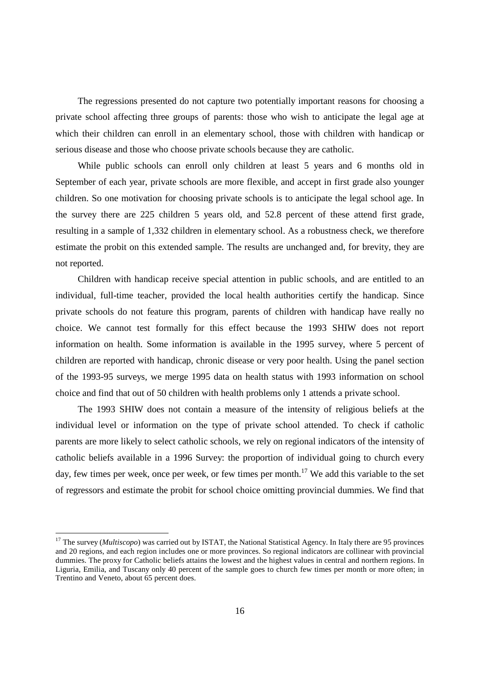The regressions presented do not capture two potentially important reasons for choosing a private school affecting three groups of parents: those who wish to anticipate the legal age at which their children can enroll in an elementary school, those with children with handicap or serious disease and those who choose private schools because they are catholic.

While public schools can enroll only children at least 5 years and 6 months old in September of each year, private schools are more flexible, and accept in first grade also younger children. So one motivation for choosing private schools is to anticipate the legal school age. In the survey there are 225 children 5 years old, and 52.8 percent of these attend first grade, resulting in a sample of 1,332 children in elementary school. As a robustness check, we therefore estimate the probit on this extended sample. The results are unchanged and, for brevity, they are not reported.

Children with handicap receive special attention in public schools, and are entitled to an individual, full-time teacher, provided the local health authorities certify the handicap. Since private schools do not feature this program, parents of children with handicap have really no choice. We cannot test formally for this effect because the 1993 SHIW does not report information on health. Some information is available in the 1995 survey, where 5 percent of children are reported with handicap, chronic disease or very poor health. Using the panel section of the 1993-95 surveys, we merge 1995 data on health status with 1993 information on school choice and find that out of 50 children with health problems only 1 attends a private school.

The 1993 SHIW does not contain a measure of the intensity of religious beliefs at the individual level or information on the type of private school attended. To check if catholic parents are more likely to select catholic schools, we rely on regional indicators of the intensity of catholic beliefs available in a 1996 Survey: the proportion of individual going to church every day, few times per week, once per week, or few times per month.<sup>17</sup> We add this variable to the set of regressors and estimate the probit for school choice omitting provincial dummies. We find that

 $\overline{a}$ 

<sup>&</sup>lt;sup>17</sup> The survey (*Multiscopo*) was carried out by ISTAT, the National Statistical Agency. In Italy there are 95 provinces and 20 regions, and each region includes one or more provinces. So regional indicators are collinear with provincial dummies. The proxy for Catholic beliefs attains the lowest and the highest values in central and northern regions. In Liguria, Emilia, and Tuscany only 40 percent of the sample goes to church few times per month or more often; in Trentino and Veneto, about 65 percent does.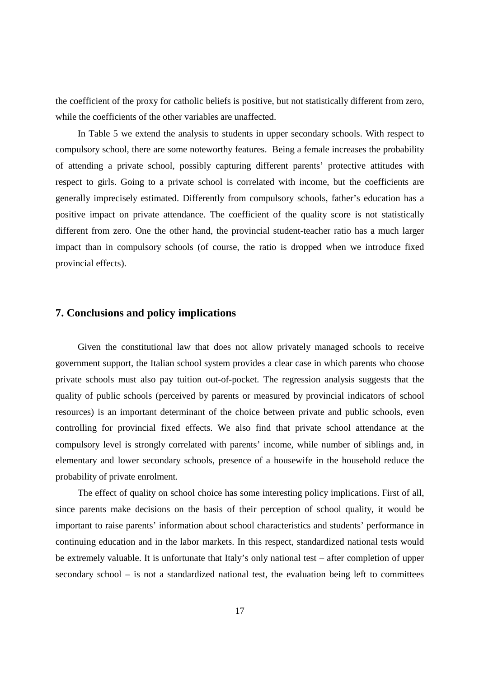the coefficient of the proxy for catholic beliefs is positive, but not statistically different from zero, while the coefficients of the other variables are unaffected.

In Table 5 we extend the analysis to students in upper secondary schools. With respect to compulsory school, there are some noteworthy features. Being a female increases the probability of attending a private school, possibly capturing different parents' protective attitudes with respect to girls. Going to a private school is correlated with income, but the coefficients are generally imprecisely estimated. Differently from compulsory schools, father's education has a positive impact on private attendance. The coefficient of the quality score is not statistically different from zero. One the other hand, the provincial student-teacher ratio has a much larger impact than in compulsory schools (of course, the ratio is dropped when we introduce fixed provincial effects).

#### **7. Conclusions and policy implications**

Given the constitutional law that does not allow privately managed schools to receive government support, the Italian school system provides a clear case in which parents who choose private schools must also pay tuition out-of-pocket. The regression analysis suggests that the quality of public schools (perceived by parents or measured by provincial indicators of school resources) is an important determinant of the choice between private and public schools, even controlling for provincial fixed effects. We also find that private school attendance at the compulsory level is strongly correlated with parents' income, while number of siblings and, in elementary and lower secondary schools, presence of a housewife in the household reduce the probability of private enrolment.

The effect of quality on school choice has some interesting policy implications. First of all, since parents make decisions on the basis of their perception of school quality, it would be important to raise parents' information about school characteristics and students' performance in continuing education and in the labor markets. In this respect, standardized national tests would be extremely valuable. It is unfortunate that Italy's only national test – after completion of upper secondary school – is not a standardized national test, the evaluation being left to committees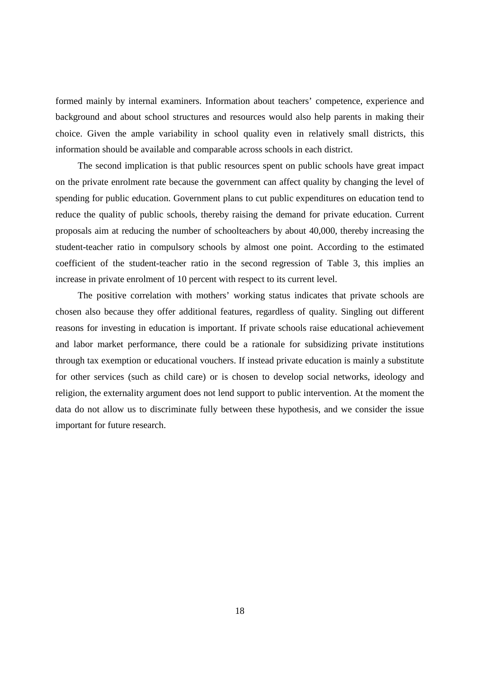formed mainly by internal examiners. Information about teachers' competence, experience and background and about school structures and resources would also help parents in making their choice. Given the ample variability in school quality even in relatively small districts, this information should be available and comparable across schools in each district.

The second implication is that public resources spent on public schools have great impact on the private enrolment rate because the government can affect quality by changing the level of spending for public education. Government plans to cut public expenditures on education tend to reduce the quality of public schools, thereby raising the demand for private education. Current proposals aim at reducing the number of schoolteachers by about 40,000, thereby increasing the student-teacher ratio in compulsory schools by almost one point. According to the estimated coefficient of the student-teacher ratio in the second regression of Table 3, this implies an increase in private enrolment of 10 percent with respect to its current level.

The positive correlation with mothers' working status indicates that private schools are chosen also because they offer additional features, regardless of quality. Singling out different reasons for investing in education is important. If private schools raise educational achievement and labor market performance, there could be a rationale for subsidizing private institutions through tax exemption or educational vouchers. If instead private education is mainly a substitute for other services (such as child care) or is chosen to develop social networks, ideology and religion, the externality argument does not lend support to public intervention. At the moment the data do not allow us to discriminate fully between these hypothesis, and we consider the issue important for future research.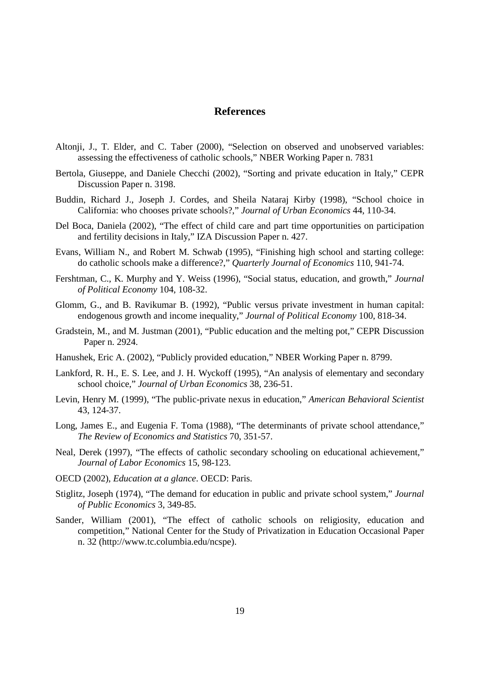#### **References**

- Altonji, J., T. Elder, and C. Taber (2000), "Selection on observed and unobserved variables: assessing the effectiveness of catholic schools," NBER Working Paper n. 7831
- Bertola, Giuseppe, and Daniele Checchi (2002), "Sorting and private education in Italy," CEPR Discussion Paper n. 3198.
- Buddin, Richard J., Joseph J. Cordes, and Sheila Nataraj Kirby (1998), "School choice in California: who chooses private schools?," *Journal of Urban Economics* 44, 110-34.
- Del Boca, Daniela (2002), "The effect of child care and part time opportunities on participation and fertility decisions in Italy," IZA Discussion Paper n. 427.
- Evans, William N., and Robert M. Schwab (1995), "Finishing high school and starting college: do catholic schools make a difference?," *Quarterly Journal of Economics* 110, 941-74.
- Fershtman, C., K. Murphy and Y. Weiss (1996), "Social status, education, and growth," *Journal of Political Economy* 104, 108-32.
- Glomm, G., and B. Ravikumar B. (1992), "Public versus private investment in human capital: endogenous growth and income inequality," *Journal of Political Economy* 100, 818-34.
- Gradstein, M., and M. Justman (2001), "Public education and the melting pot," CEPR Discussion Paper n. 2924.
- Hanushek, Eric A. (2002), "Publicly provided education," NBER Working Paper n. 8799.
- Lankford, R. H., E. S. Lee, and J. H. Wyckoff (1995), "An analysis of elementary and secondary school choice," *Journal of Urban Economics* 38, 236-51.
- Levin, Henry M. (1999), "The public-private nexus in education," *American Behavioral Scientist* 43, 124-37.
- Long, James E., and Eugenia F. Toma (1988), "The determinants of private school attendance," *The Review of Economics and Statistics* 70, 351-57.
- Neal, Derek (1997), "The effects of catholic secondary schooling on educational achievement," *Journal of Labor Economics* 15, 98-123.
- OECD (2002), *Education at a glance*. OECD: Paris.
- Stiglitz, Joseph (1974), "The demand for education in public and private school system," *Journal of Public Economics* 3, 349-85.
- Sander, William (2001), "The effect of catholic schools on religiosity, education and competition," National Center for the Study of Privatization in Education Occasional Paper n. 32 (http://www.tc.columbia.edu/ncspe).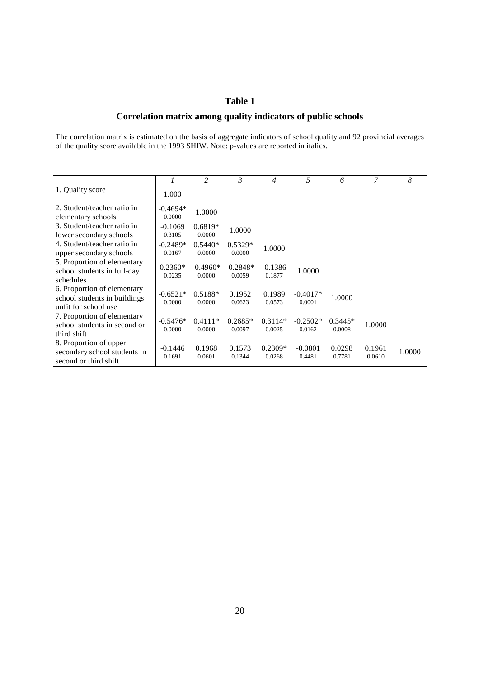#### **Table 1**

#### **Correlation matrix among quality indicators of public schools**

The correlation matrix is estimated on the basis of aggregate indicators of school quality and 92 provincial averages of the quality score available in the 1993 SHIW. Note: p-values are reported in italics.

|                                                                                     |                      | 2                    | $\mathfrak{Z}$       | $\overline{4}$      | 5                    | 6                   | 7                | 8      |
|-------------------------------------------------------------------------------------|----------------------|----------------------|----------------------|---------------------|----------------------|---------------------|------------------|--------|
| 1. Quality score                                                                    | 1.000                |                      |                      |                     |                      |                     |                  |        |
| 2. Student/teacher ratio in<br>elementary schools                                   | $-0.4694*$<br>0.0000 | 1.0000               |                      |                     |                      |                     |                  |        |
| 3. Student/teacher ratio in<br>lower secondary schools                              | $-0.1069$<br>0.3105  | $0.6819*$<br>0.0000  | 1.0000               |                     |                      |                     |                  |        |
| 4. Student/teacher ratio in<br>upper secondary schools                              | $-0.2489*$<br>0.0167 | $0.5440*$<br>0.0000  | $0.5329*$<br>0.0000  | 1.0000              |                      |                     |                  |        |
| 5. Proportion of elementary<br>school students in full-day<br>schedules             | $0.2360*$<br>0.0235  | $-0.4960*$<br>0.0000 | $-0.2848*$<br>0.0059 | $-0.1386$<br>0.1877 | 1.0000               |                     |                  |        |
| 6. Proportion of elementary<br>school students in buildings<br>unfit for school use | $-0.6521*$<br>0.0000 | $0.5188*$<br>0.0000  | 0.1952<br>0.0623     | 0.1989<br>0.0573    | $-0.4017*$<br>0.0001 | 1.0000              |                  |        |
| 7. Proportion of elementary<br>school students in second or<br>third shift          | $-0.5476*$<br>0.0000 | $0.4111*$<br>0.0000  | $0.2685*$<br>0.0097  | $0.3114*$<br>0.0025 | $-0.2502*$<br>0.0162 | $0.3445*$<br>0.0008 | 1.0000           |        |
| 8. Proportion of upper<br>secondary school students in<br>second or third shift     | $-0.1446$<br>0.1691  | 0.1968<br>0.0601     | 0.1573<br>0.1344     | $0.2309*$<br>0.0268 | $-0.0801$<br>0.4481  | 0.0298<br>0.7781    | 0.1961<br>0.0610 | 1.0000 |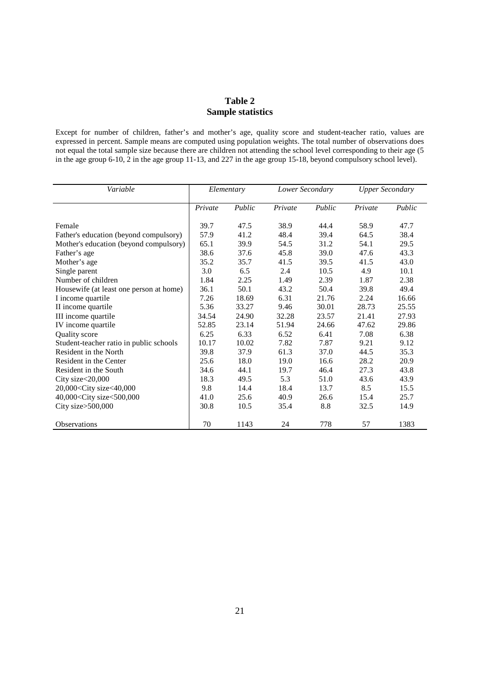#### **Table 2 Sample statistics**

Except for number of children, father's and mother's age, quality score and student-teacher ratio, values are expressed in percent. Sample means are computed using population weights. The total number of observations does not equal the total sample size because there are children not attending the school level corresponding to their age (5 in the age group 6-10, 2 in the age group 11-13, and 227 in the age group 15-18, beyond compulsory school level).

| Variable                                                                                                                  | Elementary |        | Lower Secondary |        | <b>Upper Secondary</b> |        |
|---------------------------------------------------------------------------------------------------------------------------|------------|--------|-----------------|--------|------------------------|--------|
|                                                                                                                           | Private    | Public | Private         | Public | Private                | Public |
| Female                                                                                                                    | 39.7       | 47.5   | 38.9            | 44.4   | 58.9                   | 47.7   |
| Father's education (beyond compulsory)                                                                                    | 57.9       | 41.2   | 48.4            | 39.4   | 64.5                   | 38.4   |
| Mother's education (beyond compulsory)                                                                                    | 65.1       | 39.9   | 54.5            | 31.2   | 54.1                   | 29.5   |
| Father's age                                                                                                              | 38.6       | 37.6   | 45.8            | 39.0   | 47.6                   | 43.3   |
| Mother's age                                                                                                              | 35.2       | 35.7   | 41.5            | 39.5   | 41.5                   | 43.0   |
| Single parent                                                                                                             | 3.0        | 6.5    | 2.4             | 10.5   | 4.9                    | 10.1   |
| Number of children                                                                                                        | 1.84       | 2.25   | 1.49            | 2.39   | 1.87                   | 2.38   |
| Housewife (at least one person at home)                                                                                   | 36.1       | 50.1   | 43.2            | 50.4   | 39.8                   | 49.4   |
| I income quartile                                                                                                         | 7.26       | 18.69  | 6.31            | 21.76  | 2.24                   | 16.66  |
| II income quartile                                                                                                        | 5.36       | 33.27  | 9.46            | 30.01  | 28.73                  | 25.55  |
| III income quartile                                                                                                       | 34.54      | 24.90  | 32.28           | 23.57  | 21.41                  | 27.93  |
| IV income quartile                                                                                                        | 52.85      | 23.14  | 51.94           | 24.66  | 47.62                  | 29.86  |
| Quality score                                                                                                             | 6.25       | 6.33   | 6.52            | 6.41   | 7.08                   | 6.38   |
| Student-teacher ratio in public schools                                                                                   | 10.17      | 10.02  | 7.82            | 7.87   | 9.21                   | 9.12   |
| Resident in the North                                                                                                     | 39.8       | 37.9   | 61.3            | 37.0   | 44.5                   | 35.3   |
| Resident in the Center                                                                                                    | 25.6       | 18.0   | 19.0            | 16.6   | 28.2                   | 20.9   |
| Resident in the South                                                                                                     | 34.6       | 44.1   | 19.7            | 46.4   | 27.3                   | 43.8   |
| City size<20,000                                                                                                          | 18.3       | 49.5   | 5.3             | 51.0   | 43.6                   | 43.9   |
| 20,000 <city size<40,000<="" td=""><td>9.8</td><td>14.4</td><td>18.4</td><td>13.7</td><td>8.5</td><td>15.5</td></city>    | 9.8        | 14.4   | 18.4            | 13.7   | 8.5                    | 15.5   |
| 40,000 <city size<500,000<="" td=""><td>41.0</td><td>25.6</td><td>40.9</td><td>26.6</td><td>15.4</td><td>25.7</td></city> | 41.0       | 25.6   | 40.9            | 26.6   | 15.4                   | 25.7   |
| City size>500,000                                                                                                         | 30.8       | 10.5   | 35.4            | 8.8    | 32.5                   | 14.9   |
| <b>Observations</b>                                                                                                       | 70         | 1143   | 24              | 778    | 57                     | 1383   |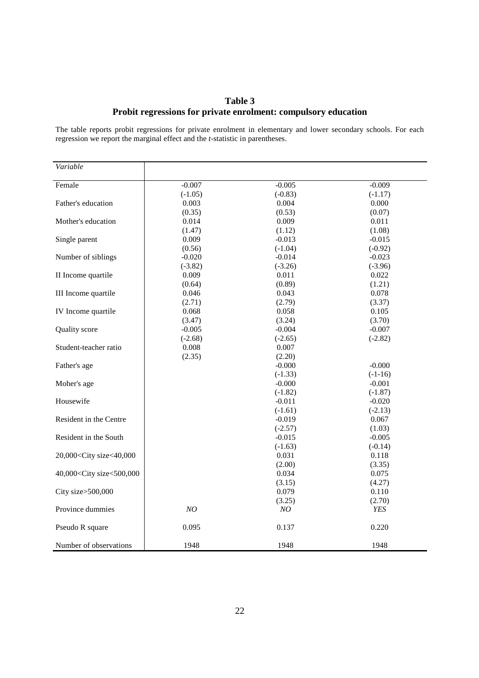#### **Table 3 Probit regressions for private enrolment: compulsory education**

The table reports probit regressions for private enrolment in elementary and lower secondary schools. For each regression we report the marginal effect and the *t*-statistic in parentheses.

| Variable                                                                         |           |           |            |
|----------------------------------------------------------------------------------|-----------|-----------|------------|
| Female                                                                           | $-0.007$  | $-0.005$  | $-0.009$   |
|                                                                                  | $(-1.05)$ | $(-0.83)$ | $(-1.17)$  |
| Father's education                                                               | 0.003     | 0.004     | 0.000      |
|                                                                                  | (0.35)    | (0.53)    | (0.07)     |
| Mother's education                                                               | 0.014     | 0.009     | 0.011      |
|                                                                                  |           |           |            |
|                                                                                  | (1.47)    | (1.12)    | (1.08)     |
| Single parent                                                                    | 0.009     | $-0.013$  | $-0.015$   |
|                                                                                  | (0.56)    | $(-1.04)$ | $(-0.92)$  |
| Number of siblings                                                               | $-0.020$  | $-0.014$  | $-0.023$   |
|                                                                                  | $(-3.82)$ | $(-3.26)$ | $(-3.96)$  |
| II Income quartile                                                               | 0.009     | 0.011     | 0.022      |
|                                                                                  | (0.64)    | (0.89)    | (1.21)     |
| III Income quartile                                                              | 0.046     | 0.043     | 0.078      |
|                                                                                  | (2.71)    | (2.79)    | (3.37)     |
| IV Income quartile                                                               | 0.068     | 0.058     | 0.105      |
|                                                                                  | (3.47)    | (3.24)    | (3.70)     |
| Quality score                                                                    | $-0.005$  | $-0.004$  | $-0.007$   |
|                                                                                  | $(-2.68)$ | $(-2.65)$ | $(-2.82)$  |
| Student-teacher ratio                                                            | 0.008     | 0.007     |            |
|                                                                                  | (2.35)    | (2.20)    |            |
| Father's age                                                                     |           | $-0.000$  | $-0.000$   |
|                                                                                  |           | $(-1.33)$ | $(-1-16)$  |
| Moher's age                                                                      |           | $-0.000$  | $-0.001$   |
|                                                                                  |           | $(-1.82)$ | $(-1.87)$  |
| Housewife                                                                        |           | $-0.011$  | $-0.020$   |
|                                                                                  |           | $(-1.61)$ | $(-2.13)$  |
| Resident in the Centre                                                           |           | $-0.019$  | 0.067      |
|                                                                                  |           | $(-2.57)$ | (1.03)     |
| Resident in the South                                                            |           | $-0.015$  | $-0.005$   |
|                                                                                  |           | $(-1.63)$ | $(-0.14)$  |
| 20,000 <city size<40,000<="" td=""><td></td><td>0.031</td><td>0.118</td></city>  |           | 0.031     | 0.118      |
|                                                                                  |           | (2.00)    | (3.35)     |
| 40,000 <city size<500,000<="" td=""><td></td><td>0.034</td><td>0.075</td></city> |           | 0.034     | 0.075      |
|                                                                                  |           | (3.15)    | (4.27)     |
| City size>500,000                                                                |           | 0.079     | 0.110      |
|                                                                                  |           | (3.25)    | (2.70)     |
| Province dummies                                                                 | NO        | NO        | <b>YES</b> |
|                                                                                  |           |           |            |
| Pseudo R square                                                                  | 0.095     | 0.137     | 0.220      |
| Number of observations                                                           | 1948      | 1948      | 1948       |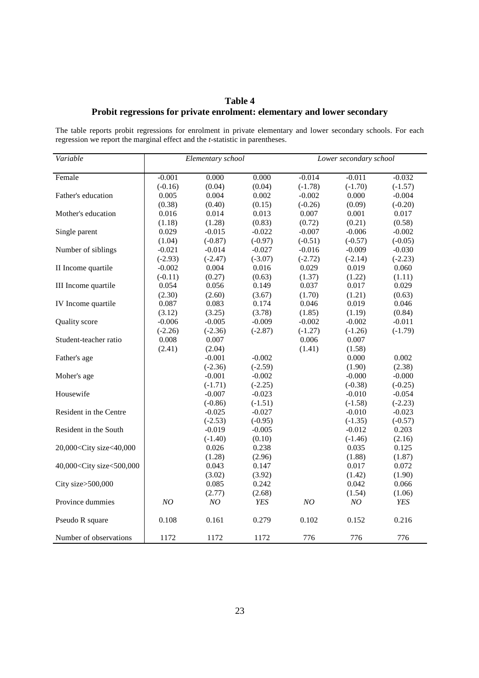#### **Table 4 Probit regressions for private enrolment: elementary and lower secondary**

The table reports probit regressions for enrolment in private elementary and lower secondary schools. For each regression we report the marginal effect and the *t*-statistic in parentheses.

| Variable                                                                                                              | Elementary school |           | Lower secondary school |           |           |           |
|-----------------------------------------------------------------------------------------------------------------------|-------------------|-----------|------------------------|-----------|-----------|-----------|
| Female                                                                                                                | $-0.001$          | 0.000     | 0.000                  | $-0.014$  | $-0.011$  | $-0.032$  |
|                                                                                                                       | $(-0.16)$         | (0.04)    | (0.04)                 | $(-1.78)$ | $(-1.70)$ | $(-1.57)$ |
| Father's education                                                                                                    | 0.005             | 0.004     | 0.002                  | $-0.002$  | 0.000     | $-0.004$  |
|                                                                                                                       | (0.38)            | (0.40)    | (0.15)                 | $(-0.26)$ | (0.09)    | $(-0.20)$ |
| Mother's education                                                                                                    | 0.016             | 0.014     | 0.013                  | 0.007     | 0.001     | 0.017     |
|                                                                                                                       | (1.18)            | (1.28)    | (0.83)                 | (0.72)    | (0.21)    | (0.58)    |
| Single parent                                                                                                         | 0.029             | $-0.015$  | $-0.022$               | $-0.007$  | $-0.006$  | $-0.002$  |
|                                                                                                                       | (1.04)            | $(-0.87)$ | $(-0.97)$              | $(-0.51)$ | $(-0.57)$ | $(-0.05)$ |
| Number of siblings                                                                                                    | $-0.021$          | $-0.014$  | $-0.027$               | $-0.016$  | $-0.009$  | $-0.030$  |
|                                                                                                                       | $(-2.93)$         | $(-2.47)$ | $(-3.07)$              | $(-2.72)$ | $(-2.14)$ | $(-2.23)$ |
| II Income quartile                                                                                                    | $-0.002$          | 0.004     | 0.016                  | 0.029     | 0.019     | 0.060     |
|                                                                                                                       | $(-0.11)$         | (0.27)    | (0.63)                 | (1.37)    | (1.22)    | (1.11)    |
| III Income quartile                                                                                                   | 0.054             | 0.056     | 0.149                  | 0.037     | 0.017     | 0.029     |
|                                                                                                                       | (2.30)            | (2.60)    | (3.67)                 | (1.70)    | (1.21)    | (0.63)    |
| IV Income quartile                                                                                                    | 0.087             | 0.083     | 0.174                  | 0.046     | 0.019     | 0.046     |
|                                                                                                                       | (3.12)            | (3.25)    | (3.78)                 | (1.85)    | (1.19)    | (0.84)    |
| Quality score                                                                                                         | $-0.006$          | $-0.005$  | $-0.009$               | $-0.002$  | $-0.002$  | $-0.011$  |
|                                                                                                                       | $(-2.26)$         | $(-2.36)$ | $(-2.87)$              | $(-1.27)$ | $(-1.26)$ | $(-1.79)$ |
| Student-teacher ratio                                                                                                 | 0.008             | 0.007     |                        | 0.006     | 0.007     |           |
|                                                                                                                       | (2.41)            | (2.04)    |                        | (1.41)    | (1.58)    |           |
| Father's age                                                                                                          |                   | $-0.001$  | $-0.002$               |           | 0.000     | 0.002     |
|                                                                                                                       |                   | $(-2.36)$ | $(-2.59)$              |           | (1.90)    | (2.38)    |
| Moher's age                                                                                                           |                   | $-0.001$  | $-0.002$               |           | $-0.000$  | $-0.000$  |
|                                                                                                                       |                   | $(-1.71)$ | $(-2.25)$              |           | $(-0.38)$ | $(-0.25)$ |
| Housewife                                                                                                             |                   | $-0.007$  | $-0.023$               |           | $-0.010$  | $-0.054$  |
|                                                                                                                       |                   | $(-0.86)$ | $(-1.51)$              |           | $(-1.58)$ | $(-2.23)$ |
| Resident in the Centre                                                                                                |                   | $-0.025$  | $-0.027$               |           | $-0.010$  | $-0.023$  |
|                                                                                                                       |                   | $(-2.53)$ | $(-0.95)$              |           | $(-1.35)$ | $(-0.57)$ |
| Resident in the South                                                                                                 |                   | $-0.019$  | $-0.005$               |           | $-0.012$  | 0.203     |
|                                                                                                                       |                   | $(-1.40)$ | (0.10)                 |           | $(-1.46)$ | (2.16)    |
| 20,000 <city size<40,000<="" td=""><td></td><td>0.026</td><td>0.238</td><td></td><td>0.035</td><td>0.125</td></city>  |                   | 0.026     | 0.238                  |           | 0.035     | 0.125     |
|                                                                                                                       |                   | (1.28)    | (2.96)                 |           | (1.88)    | (1.87)    |
| 40,000 <city size<500,000<="" td=""><td></td><td>0.043</td><td>0.147</td><td></td><td>0.017</td><td>0.072</td></city> |                   | 0.043     | 0.147                  |           | 0.017     | 0.072     |
|                                                                                                                       |                   | (3.02)    | (3.92)                 |           | (1.42)    | (1.90)    |
| City size>500,000                                                                                                     |                   | 0.085     | 0.242                  |           | 0.042     | 0.066     |
|                                                                                                                       |                   | (2.77)    | (2.68)                 |           | (1.54)    | (1.06)    |
| Province dummies                                                                                                      | NO                | $NO$      | YES                    | NO        | $\it NO$  | YES       |
| Pseudo R square                                                                                                       | 0.108             | 0.161     | 0.279                  | 0.102     | 0.152     | 0.216     |
| Number of observations                                                                                                | 1172              | 1172      | 1172                   | 776       | 776       | 776       |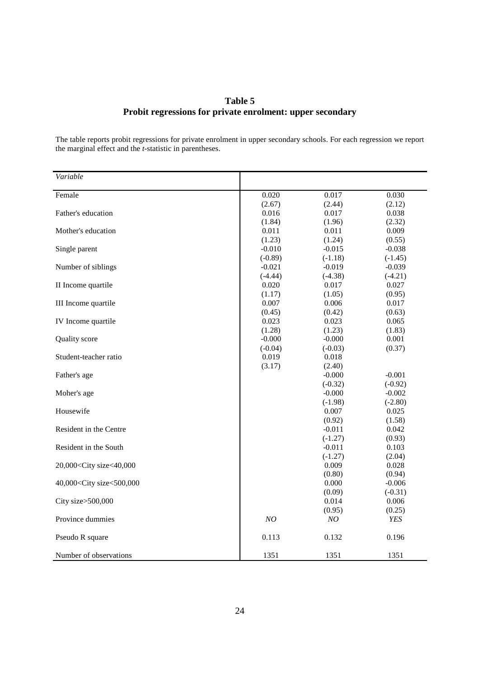#### **Table 5 Probit regressions for private enrolment: upper secondary**

The table reports probit regressions for private enrolment in upper secondary schools. For each regression we report the marginal effect and the *t*-statistic in parentheses.

| Variable                                                                                       |           |           |           |
|------------------------------------------------------------------------------------------------|-----------|-----------|-----------|
| Female                                                                                         | 0.020     | 0.017     | 0.030     |
|                                                                                                | (2.67)    | (2.44)    | (2.12)    |
| Father's education                                                                             | 0.016     | 0.017     | 0.038     |
|                                                                                                | (1.84)    | (1.96)    | (2.32)    |
| Mother's education                                                                             | 0.011     | 0.011     | 0.009     |
|                                                                                                | (1.23)    | (1.24)    | (0.55)    |
| Single parent                                                                                  | $-0.010$  | $-0.015$  | $-0.038$  |
|                                                                                                | $(-0.89)$ | $(-1.18)$ | $(-1.45)$ |
| Number of siblings                                                                             | $-0.021$  | $-0.019$  | $-0.039$  |
|                                                                                                | $(-4.44)$ | $(-4.38)$ | $(-4.21)$ |
| II Income quartile                                                                             | 0.020     | 0.017     | 0.027     |
|                                                                                                | (1.17)    | (1.05)    | (0.95)    |
| III Income quartile                                                                            | 0.007     | 0.006     | 0.017     |
|                                                                                                | (0.45)    | (0.42)    | (0.63)    |
| IV Income quartile                                                                             | 0.023     | 0.023     | 0.065     |
|                                                                                                | (1.28)    | (1.23)    | (1.83)    |
| Quality score                                                                                  | $-0.000$  | $-0.000$  | 0.001     |
|                                                                                                | $(-0.04)$ | $(-0.03)$ | (0.37)    |
| Student-teacher ratio                                                                          | 0.019     | 0.018     |           |
|                                                                                                | (3.17)    | (2.40)    |           |
| Father's age                                                                                   |           | $-0.000$  | $-0.001$  |
|                                                                                                |           | $(-0.32)$ | $(-0.92)$ |
| Moher's age                                                                                    |           | $-0.000$  | $-0.002$  |
|                                                                                                |           | $(-1.98)$ | $(-2.80)$ |
| Housewife                                                                                      |           | 0.007     | 0.025     |
|                                                                                                |           | (0.92)    | (1.58)    |
| Resident in the Centre                                                                         |           | $-0.011$  | 0.042     |
|                                                                                                |           | $(-1.27)$ | (0.93)    |
| Resident in the South                                                                          |           | $-0.011$  | 0.103     |
|                                                                                                |           | $(-1.27)$ | (2.04)    |
| 20,000 <city size<40,000<="" td=""><td></td><td>0.009</td><td>0.028</td></city>                |           | 0.009     | 0.028     |
|                                                                                                |           | (0.80)    | (0.94)    |
| 40,000 <city size<500,000<="" td=""><td></td><td>0.000</td><td><math>-0.006</math></td></city> |           | 0.000     | $-0.006$  |
|                                                                                                |           | (0.09)    | $(-0.31)$ |
| City size>500,000                                                                              |           | 0.014     | 0.006     |
|                                                                                                |           | (0.95)    | (0.25)    |
| Province dummies                                                                               | NO        | NO        | YES       |
| Pseudo R square                                                                                | 0.113     | 0.132     | 0.196     |
| Number of observations                                                                         | 1351      | 1351      | 1351      |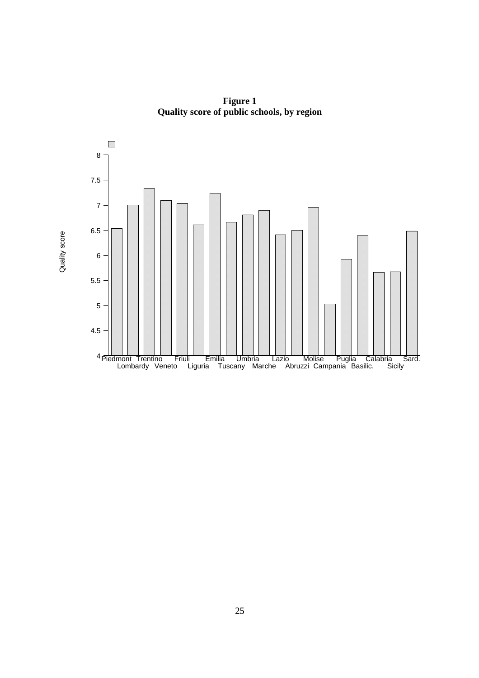

**Figure 1 Quality score of public schools, by region**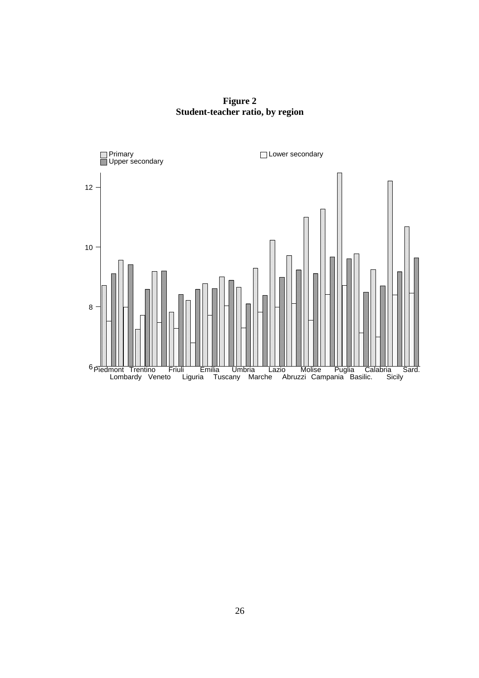**Figure 2 Student-teacher ratio, by region** 

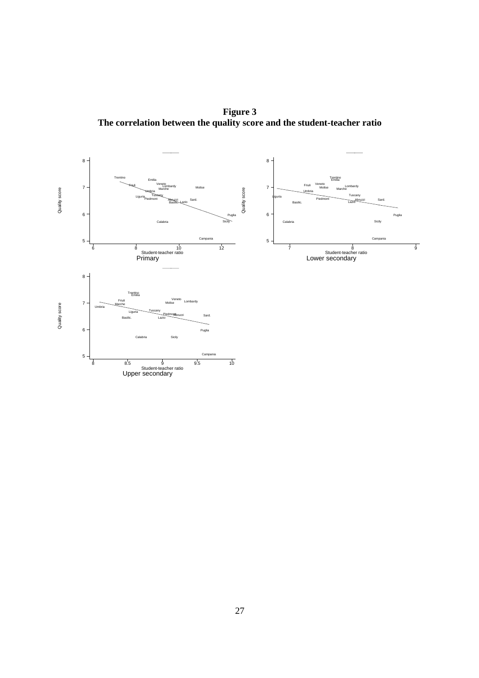**Figure 3 The correlation between the quality score and the student-teacher ratio** 

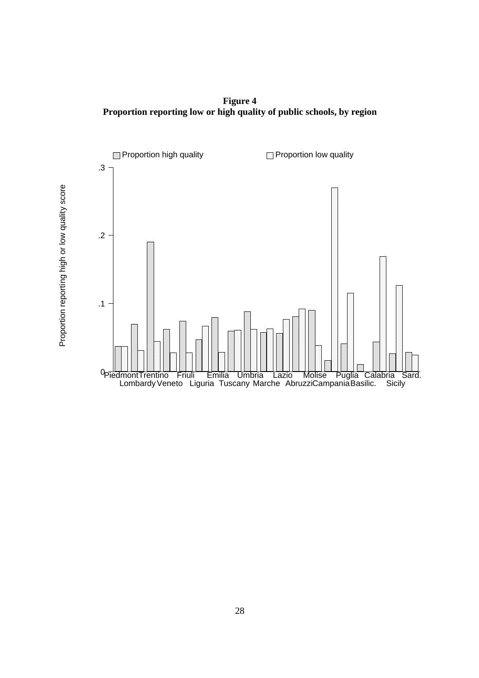**Figure 4 Proportion reporting low or high quality of public schools, by region** 

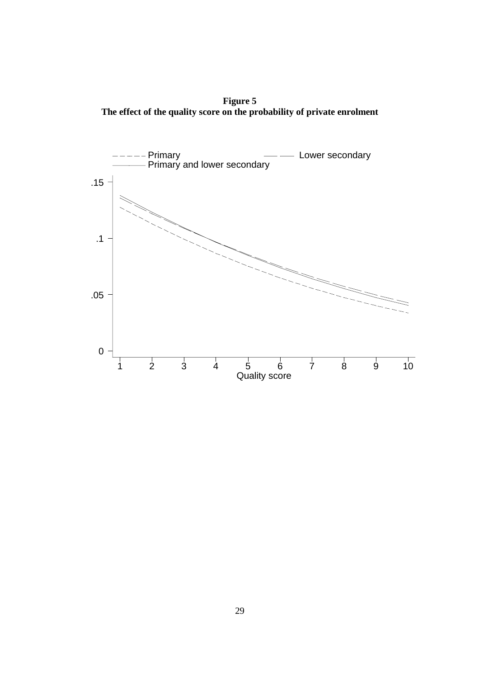**Figure 5 The effect of the quality score on the probability of private enrolment**